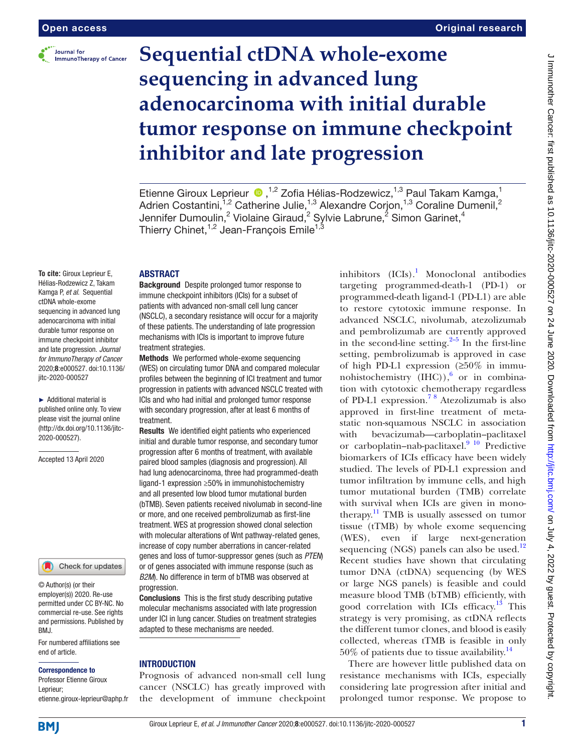

# **Sequential ctDNA whole-exome sequencing in advanced lung adenocarcinoma with initial durable tumor response on immune checkpoint inhibitor and late progression**

#### **ABSTRACT**

**To cite:** Giroux Leprieur E, Hélias-Rodzewicz Z, Takam Kamga P, *et al*. Sequential ctDNA whole-exome sequencing in advanced lung adenocarcinoma with initial durable tumor response on immune checkpoint inhibitor and late progression. *Journal for ImmunoTherapy of Cancer* 2020;8:e000527. doi:10.1136/ jitc-2020-000527

► Additional material is published online only. To view please visit the journal online (http://dx.doi.org/10.1136/jitc-2020-000527).

Accepted 13 April 2020

Check for updates

© Author(s) (or their employer(s)) 2020. Re-use permitted under CC BY-NC. No commercial re-use. See rights and permissions. Published by BMJ.

For numbered affiliations see end of article.

#### Correspondence to

Professor Etienne Giroux Leprieur; etienne.giroux-leprieur@aphp.fr Background Despite prolonged tumor response to immune checkpoint inhibitors (ICIs) for a subset of patients with advanced non-small cell lung cancer (NSCLC), a secondary resistance will occur for a majority of these patients. The understanding of late progression mechanisms with ICIs is important to improve future treatment strategies.

Methods We performed whole-exome sequencing (WES) on circulating tumor DNA and compared molecular profiles between the beginning of ICI treatment and tumor progression in patients with advanced NSCLC treated with ICIs and who had initial and prolonged tumor response with secondary progression, after at least 6 months of treatment.

Results We identified eight patients who experienced initial and durable tumor response, and secondary tumor progression after 6 months of treatment, with available paired blood samples (diagnosis and progression). All had lung adenocarcinoma, three had programmed-death ligand-1 expression ≥50% in immunohistochemistry and all presented low blood tumor mutational burden (bTMB). Seven patients received nivolumab in second-line or more, and one received pembrolizumab as first-line treatment. WES at progression showed clonal selection with molecular alterations of Wnt pathway-related genes, increase of copy number aberrations in cancer-related genes and loss of tumor-suppressor genes (such as *PTEN*) or of genes associated with immune response (such as *B2M*). No difference in term of bTMB was observed at progression.

Conclusions This is the first study describing putative molecular mechanisms associated with late progression under ICI in lung cancer. Studies on treatment strategies adapted to these mechanisms are needed.

#### **INTRODUCTION**

Prognosis of advanced non-small cell lung cancer (NSCLC) has greatly improved with the development of immune checkpoint

inhibitors  $(ICIs).<sup>1</sup> Monoclonal antibodies$  $(ICIs).<sup>1</sup> Monoclonal antibodies$  $(ICIs).<sup>1</sup> Monoclonal antibodies$ targeting programmed-death-1 (PD-1) or programmed-death ligand-1 (PD-L1) are able to restore cytotoxic immune response. In advanced NSCLC, nivolumab, atezolizumab and pembrolizumab are currently approved in the second-line setting. $2-5$  In the first-line setting, pembrolizumab is approved in case of high PD-L1 expression (≥50% in immunohistochemistry  $(HIC)$ ,  $\stackrel{6}{\circ}$  $\stackrel{6}{\circ}$  $\stackrel{6}{\circ}$  or in combination with cytotoxic chemotherapy regardless of PD-L1 expression[.7 8](#page-7-3) Atezolizumab is also approved in first-line treatment of metastatic non-squamous NSCLC in association with bevacizumab—carboplatin–paclitaxel or carboplatin–nab-paclitaxel. $9^{10}$  Predictive biomarkers of ICIs efficacy have been widely studied. The levels of PD-L1 expression and tumor infiltration by immune cells, and high tumor mutational burden (TMB) correlate with survival when ICIs are given in monotherapy.<sup>11</sup> TMB is usually assessed on tumor tissue (tTMB) by whole exome sequencing (WES), even if large next-generation sequencing (NGS) panels can also be used. $12$ Recent studies have shown that circulating tumor DNA (ctDNA) sequencing (by WES or large NGS panels) is feasible and could measure blood TMB (bTMB) efficiently, with good correlation with ICIs efficacy.<sup>13</sup> This strategy is very promising, as ctDNA reflects the different tumor clones, and blood is easily collected, whereas tTMB is feasible in only  $50\%$  of patients due to tissue availability.<sup>14</sup>

There are however little published data on resistance mechanisms with ICIs, especially considering late progression after initial and prolonged tumor response. We propose to

EtienneGiroux Leprieur (D, <sup>1,2</sup> Zofia Hélias-Rodzewicz, <sup>1,3</sup> Paul Takam Kamga, <sup>1</sup> Adrien Costantini,<sup>1,2</sup> Catherine Julie,<sup>1,3</sup> Alexandre Corjon,<sup>1,3</sup> Coraline Dumenil,<sup>2</sup> Jennifer Dumoulin,<sup>2</sup> Violaine Giraud,<sup>2</sup> Sylvie Labrune,<sup>2</sup> Simon Garinet,<sup>4</sup> Thierry Chinet, $^{1,2}$  Jean-François Emile $^{1,3}$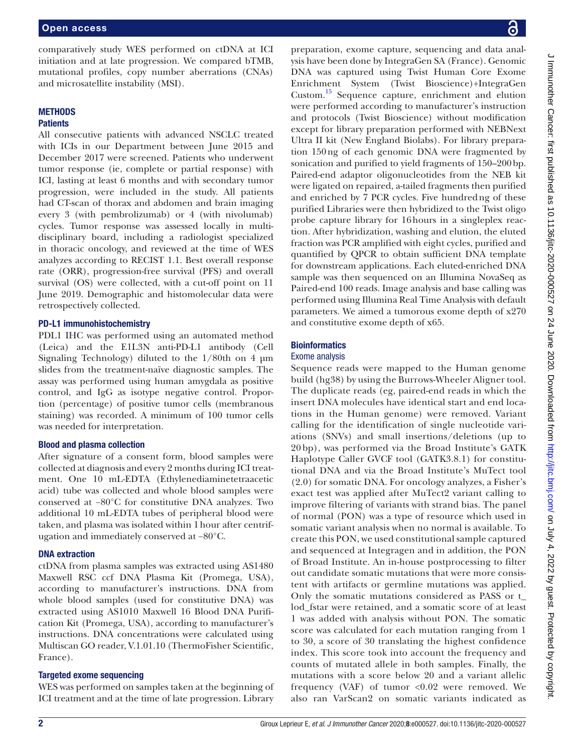comparatively study WES performed on ctDNA at ICI initiation and at late progression. We compared bTMB, mutational profiles, copy number aberrations (CNAs) and microsatellite instability (MSI).

# **METHODS**

# **Patients**

All consecutive patients with advanced NSCLC treated with ICIs in our Department between June 2015 and December 2017 were screened. Patients who underwent tumor response (ie, complete or partial response) with ICI, lasting at least 6 months and with secondary tumor progression, were included in the study. All patients had CT-scan of thorax and abdomen and brain imaging every 3 (with pembrolizumab) or 4 (with nivolumab) cycles. Tumor response was assessed locally in multidisciplinary board, including a radiologist specialized in thoracic oncology, and reviewed at the time of WES analyzes according to RECIST 1.1. Best overall response rate (ORR), progression-free survival (PFS) and overall survival (OS) were collected, with a cut-off point on 11 June 2019. Demographic and histomolecular data were retrospectively collected.

# PD-L1 immunohistochemistry

PDL1 IHC was performed using an automated method (Leica) and the E1L3N anti-PD-L1 antibody (Cell Signaling Technology) diluted to the  $1/80$ th on 4  $\mu$ m slides from the treatment-naïve diagnostic samples. The assay was performed using human amygdala as positive control, and IgG as isotype negative control. Proportion (percentage) of positive tumor cells (membranous staining) was recorded. A minimum of 100 tumor cells was needed for interpretation.

# Blood and plasma collection

After signature of a consent form, blood samples were collected at diagnosis and every 2 months during ICI treatment. One 10 mL-EDTA (Ethylenediaminetetraacetic acid) tube was collected and whole blood samples were conserved at −80°C for constitutive DNA analyzes. Two additional 10 mL-EDTA tubes of peripheral blood were taken, and plasma was isolated within 1hour after centrifugation and immediately conserved at −80°C.

# DNA extraction

ctDNA from plasma samples was extracted using AS1480 Maxwell RSC ccf DNA Plasma Kit (Promega, USA), according to manufacturer's instructions. DNA from whole blood samples (used for constitutive DNA) was extracted using AS1010 Maxwell 16 Blood DNA Purification Kit (Promega, USA), according to manufacturer's instructions. DNA concentrations were calculated using Multiscan GO reader, V.1.01.10 (ThermoFisher Scientific, France).

# Targeted exome sequencing

WES was performed on samples taken at the beginning of ICI treatment and at the time of late progression. Library

preparation, exome capture, sequencing and data analysis have been done by IntegraGen SA (France). Genomic DNA was captured using Twist Human Core Exome Enrichment System (Twist Bioscience)+IntegraGen Custom[.15](#page-7-9) Sequence capture, enrichment and elution were performed according to manufacturer's instruction and protocols (Twist Bioscience) without modification except for library preparation performed with NEBNext Ultra II kit (New England Biolabs). For library preparation 150ng of each genomic DNA were fragmented by sonication and purified to yield fragments of 150–200bp. Paired-end adaptor oligonucleotides from the NEB kit were ligated on repaired, a-tailed fragments then purified and enriched by 7 PCR cycles. Five hundredng of these purified Libraries were then hybridized to the Twist oligo probe capture library for 16hours in a singleplex reaction. After hybridization, washing and elution, the eluted fraction was PCR amplified with eight cycles, purified and quantified by QPCR to obtain sufficient DNA template for downstream applications. Each eluted-enriched DNA sample was then sequenced on an Illumina NovaSeq as Paired-end 100 reads. Image analysis and base calling was performed using Illumina Real Time Analysis with default parameters. We aimed a tumorous exome depth of x270 and constitutive exome depth of x65.

# **Bioinformatics**

## Exome analysis

Sequence reads were mapped to the Human genome build (hg38) by using the Burrows-Wheeler Aligner tool. The duplicate reads (eg, paired-end reads in which the insert DNA molecules have identical start and end locations in the Human genome) were removed. Variant calling for the identification of single nucleotide variations (SNVs) and small insertions/deletions (up to 20 bp), was performed via the Broad Institute's GATK Haplotype Caller GVCF tool (GATK3.8.1) for constitutional DNA and via the Broad Institute's MuTect tool (2.0) for somatic DNA. For oncology analyzes, a Fisher's exact test was applied after MuTect2 variant calling to improve filtering of variants with strand bias. The panel of normal (PON) was a type of resource which used in somatic variant analysis when no normal is available. To create this PON, we used constitutional sample captured and sequenced at Integragen and in addition, the PON of Broad Institute. An in-house postprocessing to filter out candidate somatic mutations that were more consistent with artifacts or germline mutations was applied. Only the somatic mutations considered as PASS or t\_ lod\_fstar were retained, and a somatic score of at least 1 was added with analysis without PON. The somatic score was calculated for each mutation ranging from 1 to 30, a score of 30 translating the highest confidence index. This score took into account the frequency and counts of mutated allele in both samples. Finally, the mutations with a score below 20 and a variant allelic frequency (VAF) of tumor  $< 0.02$  were removed. We also ran VarScan2 on somatic variants indicated as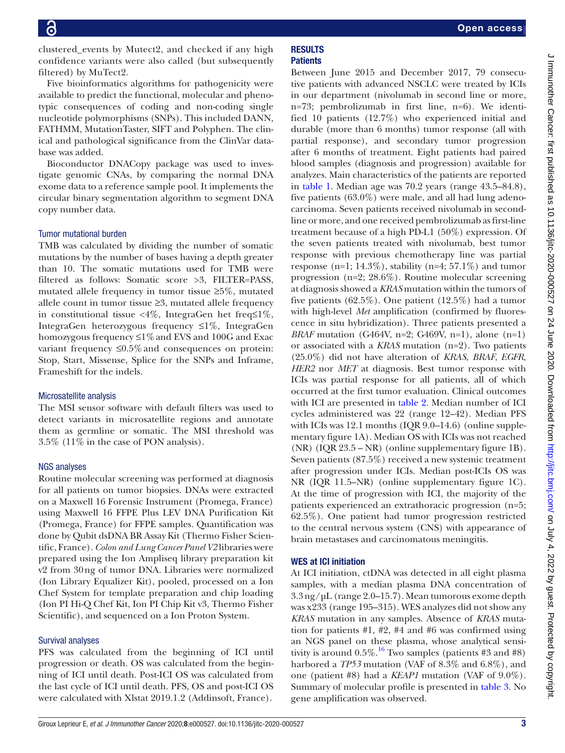Five bioinformatics algorithms for pathogenicity were available to predict the functional, molecular and phenotypic consequences of coding and non-coding single nucleotide polymorphisms (SNPs). This included DANN, FATHMM, MutationTaster, SIFT and Polyphen. The clinical and pathological significance from the ClinVar database was added.

Bioconductor DNACopy package was used to investigate genomic CNAs, by comparing the normal DNA exome data to a reference sample pool. It implements the circular binary segmentation algorithm to segment DNA copy number data.

## Tumor mutational burden

TMB was calculated by dividing the number of somatic mutations by the number of bases having a depth greater than 10. The somatic mutations used for TMB were filtered as follows: Somatic score >3, FILTER=PASS, mutated allele frequency in tumor tissue ≥5%, mutated allele count in tumor tissue ≥3, mutated allele frequency in constitutional tissue <4%, IntegraGen het freq≤1%, IntegraGen heterozygous frequency ≤1%, IntegraGen homozygous frequency  $\leq 1\%$  and EVS and 100G and Exac variant frequency  $\leq 0.5\%$  and consequences on protein: Stop, Start, Missense, Splice for the SNPs and Inframe, Frameshift for the indels.

#### Microsatellite analysis

The MSI sensor software with default filters was used to detect variants in microsatellite regions and annotate them as germline or somatic. The MSI threshold was 3.5% (11% in the case of PON analysis).

#### NGS analyses

Routine molecular screening was performed at diagnosis for all patients on tumor biopsies. DNAs were extracted on a Maxwell 16 Forensic Instrument (Promega, France) using Maxwell 16 FFPE Plus LEV DNA Purification Kit (Promega, France) for FFPE samples. Quantification was done by Qubit dsDNA BR Assay Kit (Thermo Fisher Scientific, France). *Colon and Lung Cancer Panel V2* libraries were prepared using the Ion Ampliseq library preparation kit v2 from 30ng of tumor DNA. Libraries were normalized (Ion Library Equalizer Kit), pooled, processed on a Ion Chef System for template preparation and chip loading (Ion PI Hi-Q Chef Kit, Ion PI Chip Kit v3, Thermo Fisher Scientific), and sequenced on a Ion Proton System.

#### Survival analyses

PFS was calculated from the beginning of ICI until progression or death. OS was calculated from the beginning of ICI until death. Post-ICI OS was calculated from the last cycle of ICI until death. PFS, OS and post-ICI OS were calculated with Xlstat 2019.1.2 (Addinsoft, France).

#### **RESULTS Patients**

Between June 2015 and December 2017, 79 consecutive patients with advanced NSCLC were treated by ICIs in our department (nivolumab in second line or more, n=73; pembrolizumab in first line, n=6). We identified 10 patients (12.7%) who experienced initial and durable (more than 6 months) tumor response (all with partial response), and secondary tumor progression after 6 months of treatment. Eight patients had paired blood samples (diagnosis and progression) available for analyzes. Main characteristics of the patients are reported in [table](#page-3-0) 1. Median age was 70.2 years (range 43.5–84.8), five patients (63.0%) were male, and all had lung adenocarcinoma. Seven patients received nivolumab in secondline or more, and one received pembrolizumab as first-line treatment because of a high PD-L1 (50%) expression. Of the seven patients treated with nivolumab, best tumor response with previous chemotherapy line was partial response (n=1;  $14.3\%$ ), stability (n=4;  $57.1\%$ ) and tumor progression (n=2; 28.6%). Routine molecular screening at diagnosis showed a *KRAS* mutation within the tumors of five patients (62.5%). One patient (12.5%) had a tumor with high-level *Met* amplification (confirmed by fluorescence in situ hybridization). Three patients presented a *BRAF* mutation (G464V, n=2; G469V, n=1), alone (n=1) or associated with a *KRAS* mutation (n=2). Two patients (25.0%) did not have alteration of *KRAS*, *BRAF*, *EGFR*, *HER2* nor *MET* at diagnosis. Best tumor response with ICIs was partial response for all patients, all of which occurred at the first tumor evaluation. Clinical outcomes with ICI are presented in [table](#page-4-0) 2. Median number of ICI cycles administered was 22 (range 12–42). Median PFS with ICIs was 12.1 months (IQR 9.0–14.6) ([online supple](https://dx.doi.org/10.1136/jitc-2020-000527)[mentary figure 1A](https://dx.doi.org/10.1136/jitc-2020-000527)). Median OS with ICIs was not reached (NR) (IQR 23.5 – NR) [\(online supplementary figure 1B\)](https://dx.doi.org/10.1136/jitc-2020-000527). Seven patients (87.5%) received a new systemic treatment after progression under ICIs. Median post-ICIs OS was NR (IQR 11.5–NR) [\(online supplementary figure 1C\)](https://dx.doi.org/10.1136/jitc-2020-000527). At the time of progression with ICI, the majority of the patients experienced an extrathoracic progression (n=5; 62.5%). One patient had tumor progression restricted to the central nervous system (CNS) with appearance of brain metastases and carcinomatous meningitis.

# WES at ICI initiation

At ICI initiation, ctDNA was detected in all eight plasma samples, with a median plasma DNA concentration of 3.3ng/µL (range 2.0–15.7). Mean tumorous exome depth was x233 (range 195–315). WES analyzes did not show any *KRAS* mutation in any samples. Absence of *KRAS* mutation for patients #1, #2, #4 and #6 was confirmed using an NGS panel on these plasma, whose analytical sensitivity is around  $0.5\%$ .<sup>16</sup> Two samples (patients #3 and #8) harbored a *TP53* mutation (VAF of 8.3% and 6.8%), and one (patient #8) had a *KEAP1* mutation (VAF of 9.0%). Summary of molecular profile is presented in [table](#page-5-0) 3. No gene amplification was observed.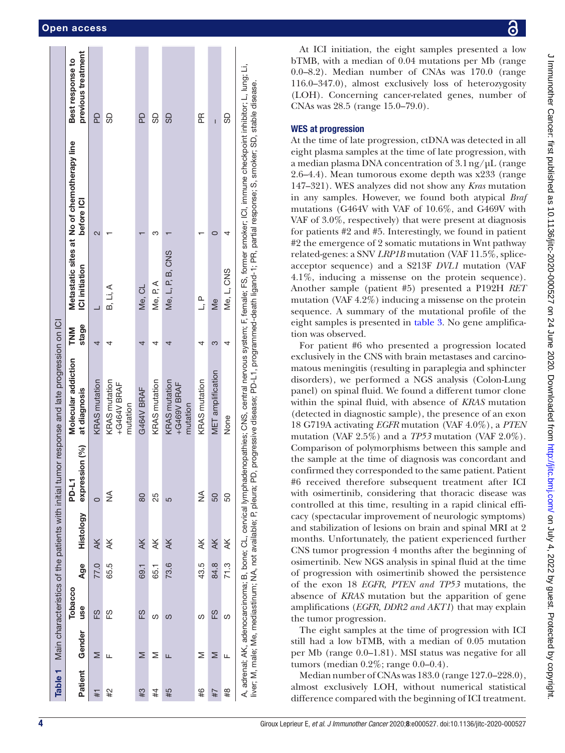|         |        |                |      |                                                                    |                         | Table 1 Main characteristics of the patients with initial tumor response and late progression on ICI |                     |                  |                                                                                                                                                                                                                                                                                                   |                                        |
|---------|--------|----------------|------|--------------------------------------------------------------------|-------------------------|------------------------------------------------------------------------------------------------------|---------------------|------------------|---------------------------------------------------------------------------------------------------------------------------------------------------------------------------------------------------------------------------------------------------------------------------------------------------|----------------------------------------|
| Patient | Gender | Tobacco<br>use | Age  | Histology                                                          | expression (%)<br>PD-L1 | Molecular addiction<br>at diagnosis                                                                  | stage<br><b>NNL</b> | ICI initiation   | Metastatic sites at No of chemotherapy line<br>before ICI                                                                                                                                                                                                                                         | previous treatment<br>Best response to |
| #1      | Σ      | 6H             | 77.0 | $\overline{A}$                                                     | $\circ$                 | <b>KRAS</b> mutation                                                                                 |                     |                  | $\overline{\mathcal{C}}$                                                                                                                                                                                                                                                                          | 9<br>Da                                |
| #2      | щ      | 63             | 65.5 | ¥                                                                  | ⋚                       | KRAS mutation<br>+G464V BRAF<br>mutation                                                             |                     | B, Li, A         |                                                                                                                                                                                                                                                                                                   | 9                                      |
| #3      | ⋝      | FS             | 69.1 | $\overline{\mathsf{A}}$ K                                          | 80                      | G464V BRAF                                                                                           |                     | Me, CL           |                                                                                                                                                                                                                                                                                                   | 6d                                     |
| #4      | Σ      | ഗ              | 65.1 | ¥                                                                  | 25                      | <b>KRAS</b> mutation                                                                                 |                     | Me, P, A         | ო                                                                                                                                                                                                                                                                                                 | ဌ                                      |
| #5      | щ      | ပာ             | 73.6 | Ж                                                                  | 5                       | <b>KRAS</b> mutation<br>+G469V BRAF<br>mutation                                                      |                     | Me, L, P, B, CNS |                                                                                                                                                                                                                                                                                                   | 99                                     |
| #6      | Σ      | ഗ              | 43.5 | $\preceq$                                                          | $\frac{1}{2}$           | <b>KRAS</b> mutation                                                                                 |                     | ے<br>ت           |                                                                                                                                                                                                                                                                                                   | 匥                                      |
| 4#7     | Σ      | 63             | 84.8 | $\overline{\mathsf{A}}$ K                                          | 50                      | MET amplification                                                                                    | ო                   | $\frac{e}{2}$    |                                                                                                                                                                                                                                                                                                   | Ī                                      |
| #8      | Щ      | ഗ              | 71.3 | ¥                                                                  | 50                      | None                                                                                                 |                     | Me, L, CNS       |                                                                                                                                                                                                                                                                                                   | 9                                      |
|         |        |                |      | liver; M, male; Me, mediastinum; NA, not available; P, pleura; PD, |                         |                                                                                                      |                     |                  | A, adrenal; AK, adenocarcinoma; B, bone; CL, cervical lymphadenopathies; CNS, central nervous system; F, female; FS, former smoker; ICI, immune checkpoint inhibitor; L, lung; Li,<br>progressive disease; PD-L1, programmed-death ligand-1; PR, partial response; S, smoker; SD, stable disease. |                                        |

J Immunother Cancer: first published as 10.1136/jic-2020-000527 on 24 June 2020. Downloaded from http://jic.bmj.com/ on July 4, 2022 by guest. Protected by copyright J Immunother Cancer: first published as 10.11136/jitc-2020-000527 on 24 June 2020. Downloaded from <http://jitc.bmj.com/> on July 4, 2022 by guest. Protected by copyright.

At ICI initiation, the eight samples presented a low bTMB, with a median of 0.04 mutations per Mb (range 0.0–8.2). Median number of CNAs was 170.0 (range 116.0–347.0), almost exclusively loss of heterozygosity (LOH). Concerning cancer-related genes, number of CNAs was 28.5 (range 15.0–79.0).

# WES at progression

At the time of late progression, ctDNA was detected in all eight plasma samples at the time of late progression, with a median plasma DNA concentration of  $3.1 \text{ ng}/\mu\text{L}$  (range 2.6–4.4). Mean tumorous exome depth was x233 (range 147–321). WES analyzes did not show any *Kras* mutation in any samples. However, we found both atypical *Braf* mutations (G464V with VAF of 10.6%, and G469V with VAF of 3.0%, respectively) that were present at diagnosis for patients #2 and #5. Interestingly, we found in patient #2 the emergence of 2 somatic mutations in Wnt pathway related-genes: a SNV *LRP1B* mutation (VAF 11.5%, spliceacceptor sequence) and a S213F *DVL1* mutation (VAF 4.1%, inducing a missense on the protein sequence). Another sample (patient #5) presented a P192H *RET* mutation (VAF 4.2%) inducing a missense on the protein sequence. A summary of the mutational profile of the eight samples is presented in [table](#page-5-0) 3. No gene amplification was observed.

For patient #6 who presented a progression located exclusively in the CNS with brain metastases and carcino matous meningitis (resulting in paraplegia and sphincter disorders), we performed a NGS analysis (Colon-Lung panel) on spinal fluid. We found a different tumor clone within the spinal fluid, with absence of *KRAS* mutation (detected in diagnostic sample), the presence of an exon 18 G719A activating *EGFR* mutation (VAF 4.0%), a *PTEN* mutation (VAF 2.5%) and a *TP53* mutation (VAF 2.0%). Comparison of polymorphisms between this sample and the sample at the time of diagnosis was concordant and confirmed they corresponded to the same patient. Patient #6 received therefore subsequent treatment after ICI with osimertinib, considering that thoracic disease was controlled at this time, resulting in a rapid clinical effi cacy (spectacular improvement of neurologic symptoms) and stabilization of lesions on brain and spinal MRI at 2 months. Unfortunately, the patient experienced further CNS tumor progression 4 months after the beginning of osimertinib. New NGS analysis in spinal fluid at the time of progression with osimertinib showed the persistence of the exon 18 *EGFR, PTEN and TP53* mutations, the absence of *KRAS* mutation but the apparition of gene amplifications (*EGFR, DDR2 and AKT1*) that may explain the tumor progression.

The eight samples at the time of progression with ICI still had a low bTMB, with a median of 0.05 mutation per Mb (range 0.0–1.81). MSI status was negative for all tumors (median 0.2%; range 0.0–0.4).

<span id="page-3-0"></span>Median number of CNAs was 183.0 (range 127.0–228.0), almost exclusively LOH, without numerical statistical difference compared with the beginning of ICI treatment.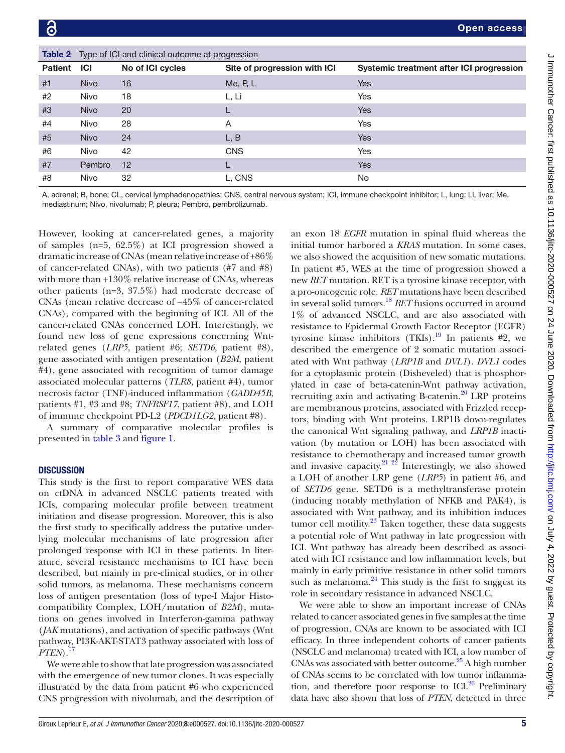<span id="page-4-0"></span>

|                |             | <b>Table 2</b> Type of ICI and clinical outcome at progression |                              |                                          |
|----------------|-------------|----------------------------------------------------------------|------------------------------|------------------------------------------|
| <b>Patient</b> | <b>ICI</b>  | No of ICI cycles                                               | Site of progression with ICI | Systemic treatment after ICI progression |
| #1             | <b>Nivo</b> | 16                                                             | Me, $P, L$                   | <b>Yes</b>                               |
| #2             | <b>Nivo</b> | 18                                                             | L, Li                        | Yes                                      |
| #3             | <b>Nivo</b> | 20                                                             |                              | <b>Yes</b>                               |
| #4             | <b>Nivo</b> | 28                                                             | A                            | Yes                                      |
| #5             | <b>Nivo</b> | 24                                                             | L, B                         | <b>Yes</b>                               |
| #6             | Nivo        | 42                                                             | <b>CNS</b>                   | Yes                                      |
| #7             | Pembro      | 12                                                             |                              | <b>Yes</b>                               |
| #8             | Nivo        | 32                                                             | L, CNS                       | No.                                      |

A, adrenal; B, bone; CL, cervical lymphadenopathies; CNS, central nervous system; ICI, immune checkpoint inhibitor; L, lung; Li, liver; Me, mediastinum; Nivo, nivolumab; P, pleura; Pembro, pembrolizumab.

However, looking at cancer-related genes, a majority of samples (n=5, 62.5%) at ICI progression showed a dramatic increase of CNAs (mean relative increase of +86% of cancer-related CNAs), with two patients (#7 and #8) with more than +130% relative increase of CNAs, whereas other patients (n=3, 37.5%) had moderate decrease of CNAs (mean relative decrease of −45% of cancer-related CNAs), compared with the beginning of ICI. All of the cancer-related CNAs concerned LOH. Interestingly, we found new loss of gene expressions concerning Wntrelated genes (*LRP5*, patient #6; *SETD6*, patient #8), gene associated with antigen presentation (*B2M*, patient #4), gene associated with recognition of tumor damage associated molecular patterns (*TLR8*, patient #4), tumor necrosis factor (TNF)-induced inflammation (*GADD45B*, patients #1, #3 and #8; *TNFRSF17*, patient #8), and LOH of immune checkpoint PD-L2 (*PDCD1LG2*, patient #8).

A summary of comparative molecular profiles is presented in [table](#page-5-0) 3 and [figure](#page-6-0) 1.

# **DISCUSSION**

This study is the first to report comparative WES data on ctDNA in advanced NSCLC patients treated with ICIs, comparing molecular profile between treatment initiation and disease progression. Moreover, this is also the first study to specifically address the putative underlying molecular mechanisms of late progression after prolonged response with ICI in these patients. In literature, several resistance mechanisms to ICI have been described, but mainly in pre-clinical studies, or in other solid tumors, as melanoma. These mechanisms concern loss of antigen presentation (loss of type-I Major Histocompatibility Complex, LOH/mutation of *B2M*), mutations on genes involved in Interferon-gamma pathway (*JAK* mutations), and activation of specific pathways (Wnt pathway, PI3K-AKT-STAT3 pathway associated with loss of  $PTEN$ ).<sup>1</sup>

We were able to show that late progression was associated with the emergence of new tumor clones. It was especially illustrated by the data from patient #6 who experienced CNS progression with nivolumab, and the description of

an exon 18 *EGFR* mutation in spinal fluid whereas the initial tumor harbored a *KRAS* mutation. In some cases, we also showed the acquisition of new somatic mutations. In patient #5, WES at the time of progression showed a new *RET* mutation. RET is a tyrosine kinase receptor, with a pro-oncogenic role. *RET* mutations have been described in several solid tumors[.18](#page-7-12) *RET* fusions occurred in around 1% of advanced NSCLC, and are also associated with resistance to Epidermal Growth Factor Receptor (EGFR) tyrosine kinase inhibitors  $(TKIs).<sup>19</sup>$  $(TKIs).<sup>19</sup>$  $(TKIs).<sup>19</sup>$  In patients #2, we described the emergence of 2 somatic mutation associated with Wnt pathway (*LRP1B* and *DVL1*). *DVL1* codes for a cytoplasmic protein (Disheveled) that is phosphorylated in case of beta-catenin-Wnt pathway activation, recruiting axin and activating B-catenin.<sup>20</sup> LRP proteins are membranous proteins, associated with Frizzled receptors, binding with Wnt proteins. LRP1B down-regulates the canonical Wnt signaling pathway, and *LRP1B* inactivation (by mutation or LOH) has been associated with resistance to chemotherapy and increased tumor growth and invasive capacity.<sup>21</sup>  $\frac{22}{1}$  Interestingly, we also showed a LOH of another LRP gene (*LRP5*) in patient #6, and of *SETD6* gene. SETD6 is a methyltransferase protein (inducing notably methylation of NFKB and PAK4), is associated with Wnt pathway, and its inhibition induces tumor cell motility. $^{23}$  $^{23}$  $^{23}$  Taken together, these data suggests a potential role of Wnt pathway in late progression with ICI. Wnt pathway has already been described as associated with ICI resistance and low inflammation levels, but mainly in early primitive resistance in other solid tumors such as melanoma. $^{24}$  This study is the first to suggest its role in secondary resistance in advanced NSCLC.

We were able to show an important increase of CNAs related to cancer associated genes in five samples at the time of progression. CNAs are known to be associated with ICI efficacy. In three independent cohorts of cancer patients (NSCLC and melanoma) treated with ICI, a low number of CNAs was associated with better outcome.<sup>25</sup> A high number of CNAs seems to be correlated with low tumor inflammation, and therefore poor response to ICI. $^{26}$  $^{26}$  $^{26}$  Preliminary data have also shown that loss of *PTEN*, detected in three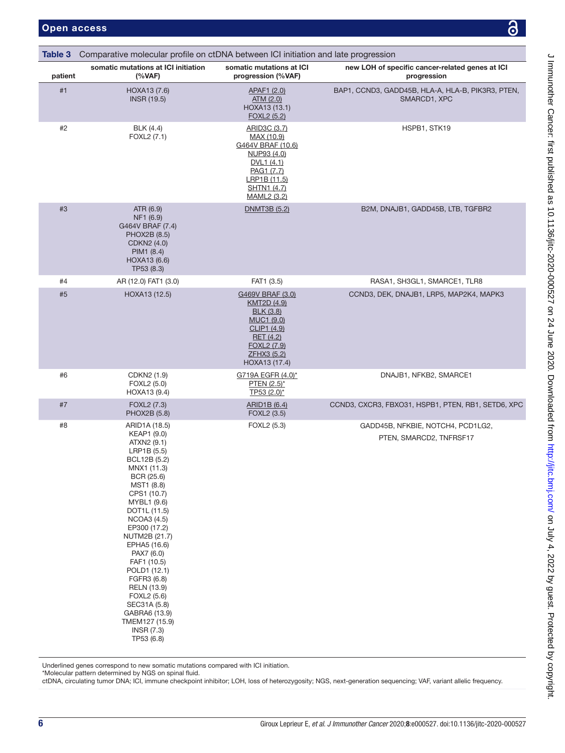<span id="page-5-0"></span>

| Table 3 | Comparative molecular profile on ctDNA between ICI initiation and late progression                                                                                                                                                                                                                                                                                                                                         |                                                                                                                                                            |                                                                   |
|---------|----------------------------------------------------------------------------------------------------------------------------------------------------------------------------------------------------------------------------------------------------------------------------------------------------------------------------------------------------------------------------------------------------------------------------|------------------------------------------------------------------------------------------------------------------------------------------------------------|-------------------------------------------------------------------|
| patient | somatic mutations at ICI initiation<br>(%VAF)                                                                                                                                                                                                                                                                                                                                                                              | somatic mutations at ICI<br>progression (%VAF)                                                                                                             | new LOH of specific cancer-related genes at ICI<br>progression    |
| #1      | HOXA13 (7.6)<br><b>INSR (19.5)</b>                                                                                                                                                                                                                                                                                                                                                                                         | APAF1 (2.0)<br>ATM (2.0)<br>HOXA13 (13.1)<br><u>FOXL2 (5.2)</u>                                                                                            | BAP1, CCND3, GADD45B, HLA-A, HLA-B, PIK3R3, PTEN,<br>SMARCD1, XPC |
| #2      | <b>BLK</b> (4.4)<br>FOXL2 (7.1)                                                                                                                                                                                                                                                                                                                                                                                            | ARID3C (3.7)<br>MAX (10.9)<br>G464V BRAF (10.6)<br>NUP93 (4.0)<br>DVL1 (4.1)<br>PAG1 (7.7)<br>LRP1B (11.5)<br>SHTN1 (4.7)<br>MAML2 (3.2)                   | HSPB1, STK19                                                      |
| #3      | ATR (6.9)<br>NF1 (6.9)<br>G464V BRAF (7.4)<br>PHOX2B (8.5)<br>CDKN2 (4.0)<br>PIM1 (8.4)<br>HOXA13 (6.6)<br>TP53 (8.3)                                                                                                                                                                                                                                                                                                      | <b>DNMT3B (5.2)</b>                                                                                                                                        | B2M, DNAJB1, GADD45B, LTB, TGFBR2                                 |
| #4      | AR (12.0) FAT1 (3.0)                                                                                                                                                                                                                                                                                                                                                                                                       | FAT1 (3.5)                                                                                                                                                 | RASA1, SH3GL1, SMARCE1, TLR8                                      |
| #5      | HOXA13 (12.5)                                                                                                                                                                                                                                                                                                                                                                                                              | G469V BRAF (3.0)<br><u>KMT2D (4.9)</u><br><b>BLK (3.8)</b><br>MUC1 (9.0)<br>CLIP1 (4.9)<br><b>RET</b> (4.2)<br>FOXL2 (7.9)<br>ZFHX3 (5.2)<br>HOXA13 (17.4) | CCND3, DEK, DNAJB1, LRP5, MAP2K4, MAPK3                           |
| #6      | CDKN2 (1.9)<br>FOXL2 (5.0)<br>HOXA13 (9.4)                                                                                                                                                                                                                                                                                                                                                                                 | G719A EGFR (4.0)*<br>PTEN $(2.5)^*$<br>TP53 (2.0)*                                                                                                         | DNAJB1, NFKB2, SMARCE1                                            |
| #7      | FOXL2 (7.3)<br>PHOX2B (5.8)                                                                                                                                                                                                                                                                                                                                                                                                | <b>ARID1B (6.4)</b><br>FOXL2 (3.5)                                                                                                                         | CCND3, CXCR3, FBXO31, HSPB1, PTEN, RB1, SETD6, XPC                |
| #8      | ARID1A (18.5)<br>KEAP1 (9.0)<br>ATXN2 (9.1)<br>LRP1B (5.5)<br>BCL12B (5.2)<br>MNX1 (11.3)<br>BCR (25.6)<br>MST1 (8.8)<br>CPS1 (10.7)<br>MYBL1 (9.6)<br>DOT1L (11.5)<br>NCOA3 (4.5)<br>EP300 (17.2)<br>NUTM2B (21.7)<br>EPHA5 (16.6)<br>PAX7 (6.0)<br>FAF1 (10.5)<br>POLD1 (12.1)<br>FGFR3 (6.8)<br><b>RELN</b> (13.9)<br>FOXL2 (5.6)<br>SEC31A (5.8)<br>GABRA6 (13.9)<br>TMEM127 (15.9)<br><b>INSR (7.3)</b><br>TP53 (6.8) | FOXL2 (5.3)                                                                                                                                                | GADD45B, NFKBIE, NOTCH4, PCD1LG2,<br>PTEN, SMARCD2, TNFRSF17      |

Underlined genes correspond to new somatic mutations compared with ICI initiation.

\*Molecular pattern determined by NGS on spinal fluid.

ctDNA, circulating tumor DNA; ICI, immune checkpoint inhibitor; LOH, loss of heterozygosity; NGS, next-generation sequencing; VAF, variant allelic frequency.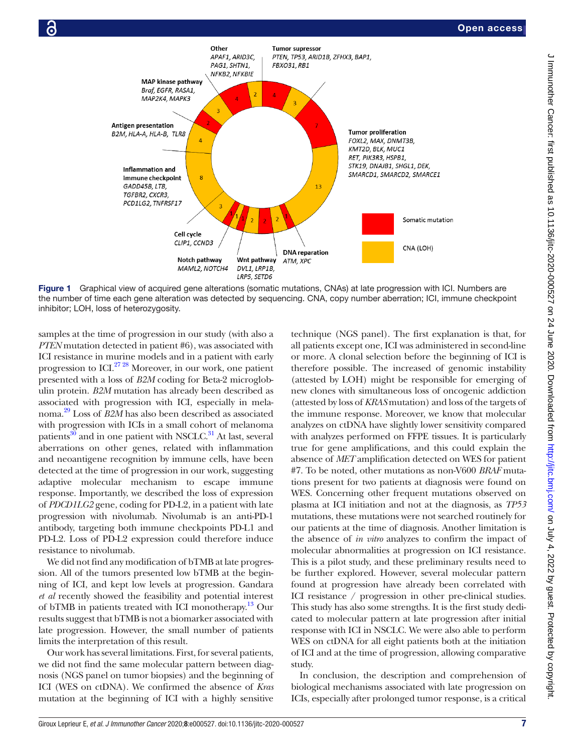

Figure 1 Graphical view of acquired gene alterations (somatic mutations, CNAs) at late progression with ICI. Numbers are the number of time each gene alteration was detected by sequencing. CNA, copy number aberration; ICI, immune checkpoint inhibitor; LOH, loss of heterozygosity.

samples at the time of progression in our study (with also a *PTEN* mutation detected in patient #6), was associated with ICI resistance in murine models and in a patient with early progression to ICI[.27 28](#page-7-20) Moreover, in our work, one patient presented with a loss of *B2M* coding for Beta-2 microglobulin protein. *B2M* mutation has already been described as associated with progression with ICI, especially in melanoma[.29](#page-7-21) Loss of *B2M* has also been described as associated with progression with ICIs in a small cohort of melanoma patients $^{30}$  $^{30}$  $^{30}$  and in one patient with NSCLC.<sup>31</sup> At last, several aberrations on other genes, related with inflammation and neoantigene recognition by immune cells, have been detected at the time of progression in our work, suggesting adaptive molecular mechanism to escape immune response. Importantly, we described the loss of expression of *PDCD1LG2* gene, coding for PD-L2, in a patient with late progression with nivolumab. Nivolumab is an anti-PD-1 antibody, targeting both immune checkpoints PD-L1 and PD-L2. Loss of PD-L2 expression could therefore induce resistance to nivolumab.

We did not find any modification of bTMB at late progression. All of the tumors presented low bTMB at the beginning of ICI, and kept low levels at progression. Gandara *et al* recently showed the feasibility and potential interest of bTMB in patients treated with ICI monotherapy.<sup>[13](#page-7-7)</sup> Our results suggest that bTMB is not a biomarker associated with late progression. However, the small number of patients limits the interpretation of this result.

Our work has several limitations. First, for several patients, we did not find the same molecular pattern between diagnosis (NGS panel on tumor biopsies) and the beginning of ICI (WES on ctDNA). We confirmed the absence of *Kras* mutation at the beginning of ICI with a highly sensitive

<span id="page-6-0"></span>technique (NGS panel). The first explanation is that, for all patients except one, ICI was administered in second-line or more. A clonal selection before the beginning of ICI is therefore possible. The increased of genomic instability (attested by LOH) might be responsible for emerging of new clones with simultaneous loss of oncogenic addiction (attested by loss of *KRAS* mutation) and loss of the targets of the immune response. Moreover, we know that molecular analyzes on ctDNA have slightly lower sensitivity compared with analyzes performed on FFPE tissues. It is particularly true for gene amplifications, and this could explain the absence of *MET* amplification detected on WES for patient #7. To be noted, other mutations as non-V600 *BRAF* mutations present for two patients at diagnosis were found on WES. Concerning other frequent mutations observed on plasma at ICI initiation and not at the diagnosis, as *TP53* mutations, these mutations were not searched routinely for our patients at the time of diagnosis. Another limitation is the absence of *in vitro* analyzes to confirm the impact of molecular abnormalities at progression on ICI resistance. This is a pilot study, and these preliminary results need to be further explored. However, several molecular pattern found at progression have already been correlated with ICI resistance / progression in other pre-clinical studies. This study has also some strengths. It is the first study dedicated to molecular pattern at late progression after initial response with ICI in NSCLC. We were also able to perform WES on ctDNA for all eight patients both at the initiation of ICI and at the time of progression, allowing comparative study.

In conclusion, the description and comprehension of biological mechanisms associated with late progression on ICIs, especially after prolonged tumor response, is a critical